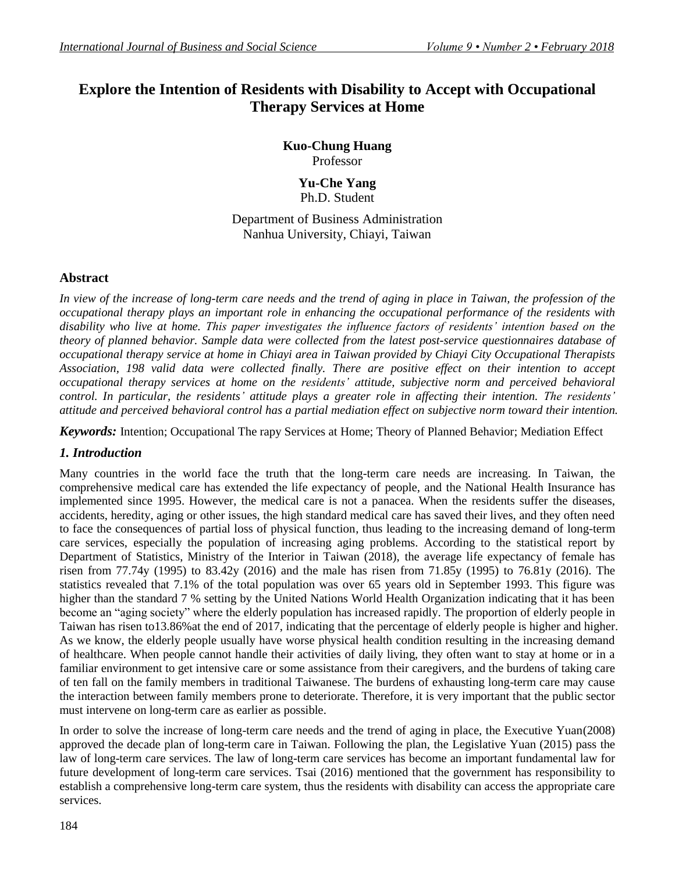# **Explore the Intention of Residents with Disability to Accept with Occupational Therapy Services at Home**

**Kuo-Chung Huang** Professor

#### **Yu-Che Yang** Ph.D. Student

Department of Business Administration Nanhua University, Chiayi, Taiwan

# **Abstract**

*In view of the increase of long-term care needs and the trend of aging in place in Taiwan, the profession of the occupational therapy plays an important role in enhancing the occupational performance of the residents with disability who live at home. This paper investigates the influence factors of residents' intention based on the theory of planned behavior. Sample data were collected from the latest post-service questionnaires database of occupational therapy service at home in Chiayi area in Taiwan provided by Chiayi City Occupational Therapists Association, 198 valid data were collected finally. There are positive effect on their intention to accept occupational therapy services at home on the residents' attitude, subjective norm and perceived behavioral control. In particular, the residents' attitude plays a greater role in affecting their intention. The residents' attitude and perceived behavioral control has a partial mediation effect on subjective norm toward their intention.*

*Keywords:* Intention; Occupational The rapy Services at Home; Theory of Planned Behavior; Mediation Effect

# *1. Introduction*

Many countries in the world face the truth that the long-term care needs are increasing. In Taiwan, the comprehensive medical care has extended the life expectancy of people, and the National Health Insurance has implemented since 1995. However, the medical care is not a panacea. When the residents suffer the diseases, accidents, heredity, aging or other issues, the high standard medical care has saved their lives, and they often need to face the consequences of partial loss of physical function, thus leading to the increasing demand of long-term care services, especially the population of increasing aging problems. According to the statistical report by Department of Statistics, Ministry of the Interior in Taiwan (2018), the average life expectancy of female has risen from 77.74y (1995) to 83.42y (2016) and the male has risen from 71.85y (1995) to 76.81y (2016). The statistics revealed that 7.1% of the total population was over 65 years old in September 1993. This figure was higher than the standard 7 % setting by the United Nations World Health Organization indicating that it has been become an "aging society" where the elderly population has increased rapidly. The proportion of elderly people in Taiwan has risen to13.86%at the end of 2017, indicating that the percentage of elderly people is higher and higher. As we know, the elderly people usually have worse physical health condition resulting in the increasing demand of healthcare. When people cannot handle their activities of daily living, they often want to stay at home or in a familiar environment to get intensive care or some assistance from their caregivers, and the burdens of taking care of ten fall on the family members in traditional Taiwanese. The burdens of exhausting long-term care may cause the interaction between family members prone to deteriorate. Therefore, it is very important that the public sector must intervene on long-term care as earlier as possible.

In order to solve the increase of long-term care needs and the trend of aging in place, the Executive Yuan(2008) approved the decade plan of long-term care in Taiwan. Following the plan, the Legislative Yuan (2015) pass the law of long-term care services. The law of long-term care services has become an important fundamental law for future development of long-term care services. Tsai (2016) mentioned that the government has responsibility to establish a comprehensive long-term care system, thus the residents with disability can access the appropriate care services.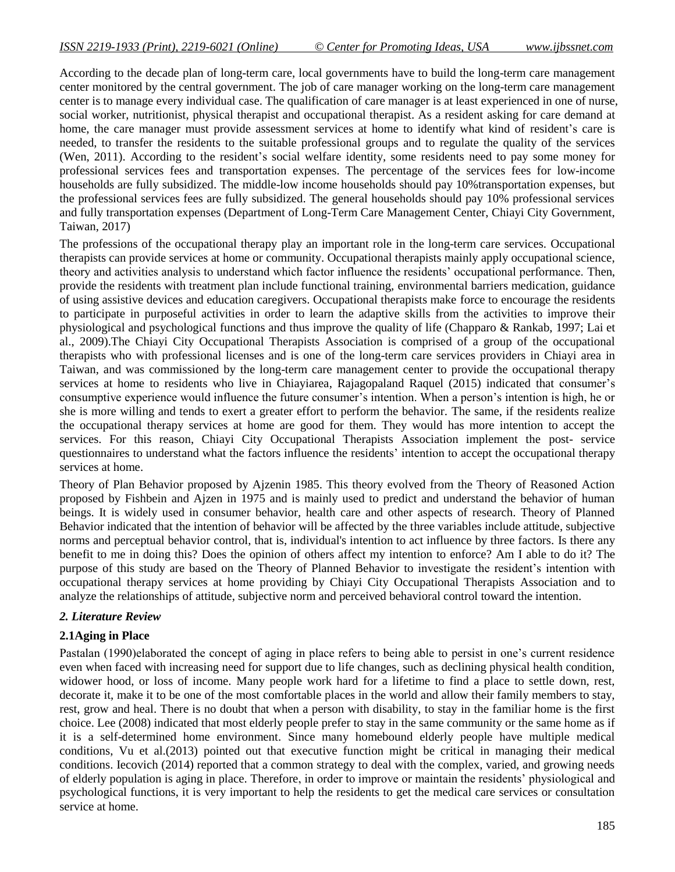According to the decade plan of long-term care, local governments have to build the long-term care management center monitored by the central government. The job of care manager working on the long-term care management center is to manage every individual case. The qualification of care manager is at least experienced in one of nurse, social worker, nutritionist, physical therapist and occupational therapist. As a resident asking for care demand at home, the care manager must provide assessment services at home to identify what kind of resident's care is needed, to transfer the residents to the suitable professional groups and to regulate the quality of the services (Wen, 2011). According to the resident's social welfare identity, some residents need to pay some money for professional services fees and transportation expenses. The percentage of the services fees for low-income households are fully subsidized. The middle-low income households should pay 10%transportation expenses, but the professional services fees are fully subsidized. The general households should pay 10% professional services and fully transportation expenses (Department of Long-Term Care Management Center, Chiayi City Government, Taiwan, 2017)

The professions of the occupational therapy play an important role in the long-term care services. Occupational therapists can provide services at home or community. Occupational therapists mainly apply occupational science, theory and activities analysis to understand which factor influence the residents' occupational performance. Then, provide the residents with treatment plan include functional training, environmental barriers medication, guidance of using assistive devices and education caregivers. Occupational therapists make force to encourage the residents to participate in purposeful activities in order to learn the adaptive skills from the activities to improve their physiological and psychological functions and thus improve the quality of life (Chapparo & Rankab, 1997; Lai et al., 2009).The Chiayi City Occupational Therapists Association is comprised of a group of the occupational therapists who with professional licenses and is one of the long-term care services providers in Chiayi area in Taiwan, and was commissioned by the long-term care management center to provide the occupational therapy services at home to residents who live in Chiayiarea, Rajagopaland Raquel (2015) indicated that consumer's consumptive experience would influence the future consumer"s intention. When a person"s intention is high, he or she is more willing and tends to exert a greater effort to perform the behavior. The same, if the residents realize the occupational therapy services at home are good for them. They would has more intention to accept the services. For this reason, Chiayi City Occupational Therapists Association implement the post- service questionnaires to understand what the factors influence the residents" intention to accept the occupational therapy services at home.

Theory of Plan Behavior proposed by Ajzenin 1985. This theory evolved from the Theory of Reasoned Action proposed by Fishbein and Ajzen in 1975 and is mainly used to predict and understand the behavior of human beings. It is widely used in consumer behavior, health care and other aspects of research. Theory of Planned Behavior indicated that the intention of behavior will be affected by the three variables include attitude, subjective norms and perceptual behavior control, that is, individual's intention to act influence by three factors. Is there any benefit to me in doing this? Does the opinion of others affect my intention to enforce? Am I able to do it? The purpose of this study are based on the Theory of Planned Behavior to investigate the resident"s intention with occupational therapy services at home providing by Chiayi City Occupational Therapists Association and to analyze the relationships of attitude, subjective norm and perceived behavioral control toward the intention.

### *2. Literature Review*

### **2.1Aging in Place**

Pastalan (1990)elaborated the concept of aging in place refers to being able to persist in one"s current residence even when faced with increasing need for support due to life changes, such as declining physical health condition, widower hood, or loss of income. Many people work hard for a lifetime to find a place to settle down, rest, decorate it, make it to be one of the most comfortable places in the world and allow their family members to stay, rest, grow and heal. There is no doubt that when a person with disability, to stay in the familiar home is the first choice. Lee (2008) indicated that most elderly people prefer to stay in the same community or the same home as if it is a self-determined home environment. Since many homebound elderly people have multiple medical conditions, Vu et al.(2013) pointed out that executive function might be critical in managing their medical conditions. Iecovich (2014) reported that a common strategy to deal with the complex, varied, and growing needs of elderly population is aging in place. Therefore, in order to improve or maintain the residents" physiological and psychological functions, it is very important to help the residents to get the medical care services or consultation service at home.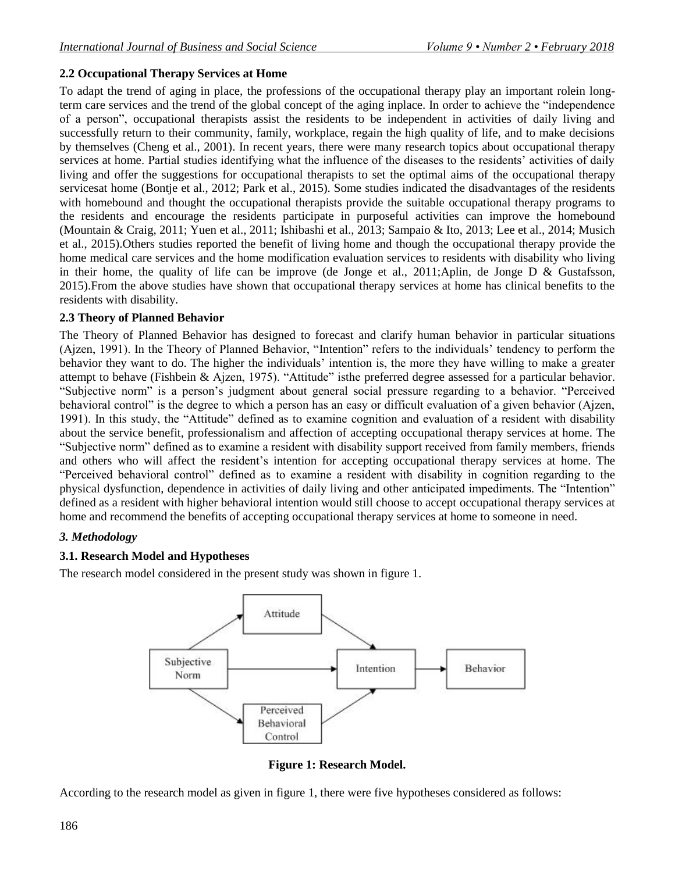# **2.2 Occupational Therapy Services at Home**

To adapt the trend of aging in place, the professions of the occupational therapy play an important rolein longterm care services and the trend of the global concept of the aging inplace. In order to achieve the "independence of a person", occupational therapists assist the residents to be independent in activities of daily living and successfully return to their community, family, workplace, regain the high quality of life, and to make decisions by themselves (Cheng et al., 2001). In recent years, there were many research topics about occupational therapy services at home. Partial studies identifying what the influence of the diseases to the residents' activities of daily living and offer the suggestions for occupational therapists to set the optimal aims of the occupational therapy servicesat home (Bontje et al., 2012; Park et al., 2015). Some studies indicated the disadvantages of the residents with homebound and thought the occupational therapists provide the suitable occupational therapy programs to the residents and encourage the residents participate in purposeful activities can improve the homebound (Mountain & Craig, 2011; Yuen et al., 2011; Ishibashi et al., 2013; Sampaio & Ito, 2013; Lee et al., 2014; Musich et al., 2015).Others studies reported the benefit of living home and though the occupational therapy provide the home medical care services and the home modification evaluation services to residents with disability who living in their home, the quality of life can be improve (de Jonge et al., 2011;Aplin, de Jonge D & Gustafsson, 2015).From the above studies have shown that occupational therapy services at home has clinical benefits to the residents with disability.

# **2.3 Theory of Planned Behavior**

The Theory of Planned Behavior has designed to forecast and clarify human behavior in particular situations (Ajzen, 1991). In the Theory of Planned Behavior, "Intention" refers to the individuals" tendency to perform the behavior they want to do. The higher the individuals' intention is, the more they have willing to make a greater attempt to behave (Fishbein & Ajzen, 1975). "Attitude" isthe preferred degree assessed for a particular behavior. "Subjective norm" is a person"s judgment about general social pressure regarding to a behavior. "Perceived behavioral control" is the degree to which a person has an easy or difficult evaluation of a given behavior (Ajzen, 1991). In this study, the "Attitude" defined as to examine cognition and evaluation of a resident with disability about the service benefit, professionalism and affection of accepting occupational therapy services at home. The "Subjective norm" defined as to examine a resident with disability support received from family members, friends and others who will affect the resident's intention for accepting occupational therapy services at home. The "Perceived behavioral control" defined as to examine a resident with disability in cognition regarding to the physical dysfunction, dependence in activities of daily living and other anticipated impediments. The "Intention" defined as a resident with higher behavioral intention would still choose to accept occupational therapy services at home and recommend the benefits of accepting occupational therapy services at home to someone in need.

# *3. Methodology*

# **3.1. Research Model and Hypotheses**

The research model considered in the present study was shown in figure 1.



**Figure 1: Research Model.**

According to the research model as given in figure 1, there were five hypotheses considered as follows: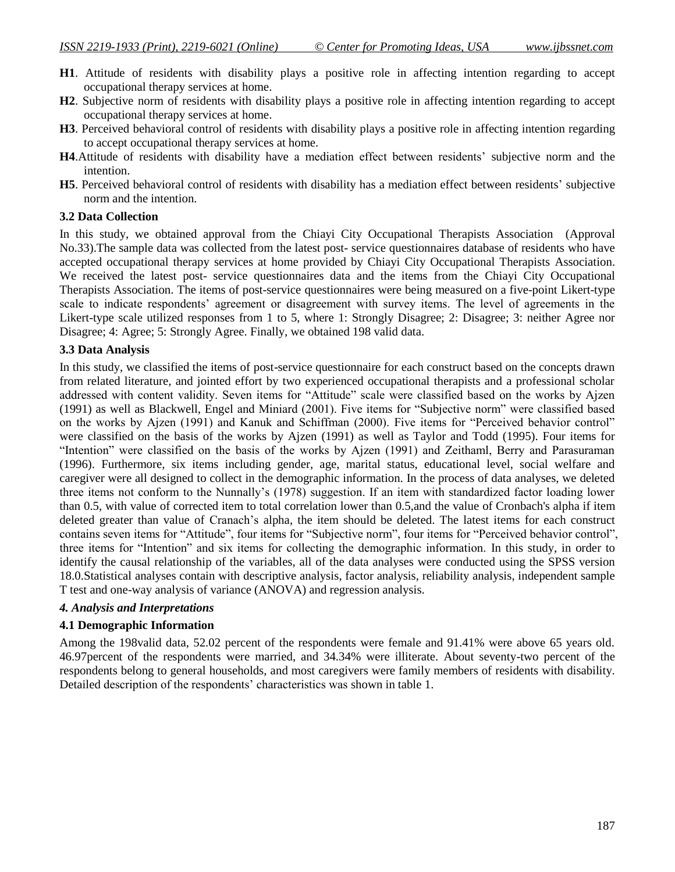- **H1**. Attitude of residents with disability plays a positive role in affecting intention regarding to accept occupational therapy services at home.
- **H2**. Subjective norm of residents with disability plays a positive role in affecting intention regarding to accept occupational therapy services at home.
- **H3**. Perceived behavioral control of residents with disability plays a positive role in affecting intention regarding to accept occupational therapy services at home.
- **H4**.Attitude of residents with disability have a mediation effect between residents" subjective norm and the intention.
- **H5**. Perceived behavioral control of residents with disability has a mediation effect between residents" subjective norm and the intention.

#### **3.2 Data Collection**

In this study, we obtained approval from the Chiayi City Occupational Therapists Association (Approval No.33).The sample data was collected from the latest post- service questionnaires database of residents who have accepted occupational therapy services at home provided by Chiayi City Occupational Therapists Association. We received the latest post- service questionnaires data and the items from the Chiayi City Occupational Therapists Association. The items of post-service questionnaires were being measured on a five-point Likert-type scale to indicate respondents' agreement or disagreement with survey items. The level of agreements in the Likert-type scale utilized responses from 1 to 5, where 1: Strongly Disagree; 2: Disagree; 3: neither Agree nor Disagree; 4: Agree; 5: Strongly Agree. Finally, we obtained 198 valid data.

#### **3.3 Data Analysis**

In this study, we classified the items of post-service questionnaire for each construct based on the concepts drawn from related literature, and jointed effort by two experienced occupational therapists and a professional scholar addressed with content validity. Seven items for "Attitude" scale were classified based on the works by Ajzen (1991) as well as Blackwell, Engel and Miniard (2001). Five items for "Subjective norm" were classified based on the works by Ajzen (1991) and Kanuk and Schiffman (2000). Five items for "Perceived behavior control" were classified on the basis of the works by Ajzen (1991) as well as Taylor and Todd (1995). Four items for "Intention" were classified on the basis of the works by Ajzen (1991) and Zeithaml, Berry and Parasuraman (1996). Furthermore, six items including gender, age, marital status, educational level, social welfare and caregiver were all designed to collect in the demographic information. In the process of data analyses, we deleted three items not conform to the Nunnally"s (1978) suggestion. If an item with standardized factor loading lower than 0.5, with value of corrected item to total correlation lower than 0.5,and the value of Cronbach's alpha if item deleted greater than value of Cranach"s alpha, the item should be deleted. The latest items for each construct contains seven items for "Attitude", four items for "Subjective norm", four items for "Perceived behavior control", three items for "Intention" and six items for collecting the demographic information. In this study, in order to identify the causal relationship of the variables, all of the data analyses were conducted using the SPSS version 18.0.Statistical analyses contain with descriptive analysis, factor analysis, reliability analysis, independent sample T test and one-way analysis of variance (ANOVA) and regression analysis.

#### *4. Analysis and Interpretations*

#### **4.1 Demographic Information**

Among the 198valid data, 52.02 percent of the respondents were female and 91.41% were above 65 years old. 46.97percent of the respondents were married, and 34.34% were illiterate. About seventy-two percent of the respondents belong to general households, and most caregivers were family members of residents with disability. Detailed description of the respondents' characteristics was shown in table 1.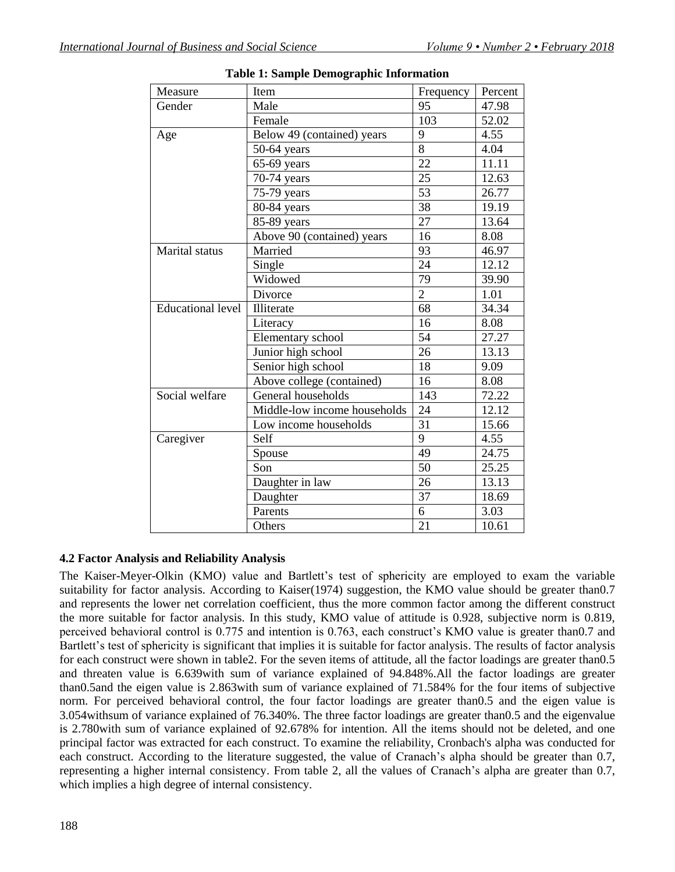| Measure                  | Item                         | Frequency       | Percent |
|--------------------------|------------------------------|-----------------|---------|
| Gender                   | Male                         | 95              | 47.98   |
|                          | Female                       | 103             | 52.02   |
| Age                      | Below 49 (contained) years   | 9               | 4.55    |
|                          | $50-64$ years                | $\overline{8}$  | 4.04    |
|                          | $65-69$ years                | 22              | 11.11   |
|                          | 70-74 years                  | 25              | 12.63   |
|                          | 75-79 years                  | 53              | 26.77   |
|                          | 80-84 years                  | 38              | 19.19   |
|                          | 85-89 years                  | 27              | 13.64   |
|                          | Above 90 (contained) years   | 16              | 8.08    |
| <b>Marital</b> status    | Married                      | 93              | 46.97   |
|                          | Single                       | 24              | 12.12   |
|                          | Widowed                      | $\overline{79}$ | 39.90   |
|                          | Divorce                      | $\overline{2}$  | 1.01    |
| <b>Educational level</b> | Illiterate                   | 68              | 34.34   |
|                          | Literacy                     | 16              | 8.08    |
|                          | Elementary school            | 54              | 27.27   |
|                          | Junior high school           | 26              | 13.13   |
|                          | Senior high school           | 18              | 9.09    |
|                          | Above college (contained)    | 16              | 8.08    |
| Social welfare           | General households           | 143             | 72.22   |
|                          | Middle-low income households | 24              | 12.12   |
|                          | Low income households        | 31              | 15.66   |
| Caregiver                | Self                         | 9               | 4.55    |
|                          | Spouse                       | 49              | 24.75   |
|                          | Son                          | 50              | 25.25   |
|                          | Daughter in law              | 26              | 13.13   |
|                          | Daughter                     | 37              | 18.69   |
|                          | Parents                      | 6               | 3.03    |
|                          | Others                       | $\overline{21}$ | 10.61   |

**Table 1: Sample Demographic Information**

#### **4.2 Factor Analysis and Reliability Analysis**

The Kaiser-Meyer-Olkin (KMO) value and Bartlett's test of sphericity are employed to exam the variable suitability for factor analysis. According to Kaiser(1974) suggestion, the KMO value should be greater than0.7 and represents the lower net correlation coefficient, thus the more common factor among the different construct the more suitable for factor analysis. In this study, KMO value of attitude is 0.928, subjective norm is 0.819, perceived behavioral control is 0.775 and intention is 0.763, each construct"s KMO value is greater than0.7 and Bartlett's test of sphericity is significant that implies it is suitable for factor analysis. The results of factor analysis for each construct were shown in table2. For the seven items of attitude, all the factor loadings are greater than0.5 and threaten value is 6.639with sum of variance explained of 94.848%.All the factor loadings are greater than0.5and the eigen value is 2.863with sum of variance explained of 71.584% for the four items of subjective norm. For perceived behavioral control, the four factor loadings are greater than0.5 and the eigen value is 3.054withsum of variance explained of 76.340%. The three factor loadings are greater than0.5 and the eigenvalue is 2.780with sum of variance explained of 92.678% for intention. All the items should not be deleted, and one principal factor was extracted for each construct. To examine the reliability, Cronbach's alpha was conducted for each construct. According to the literature suggested, the value of Cranach's alpha should be greater than 0.7, representing a higher internal consistency. From table 2, all the values of Cranach's alpha are greater than 0.7, which implies a high degree of internal consistency.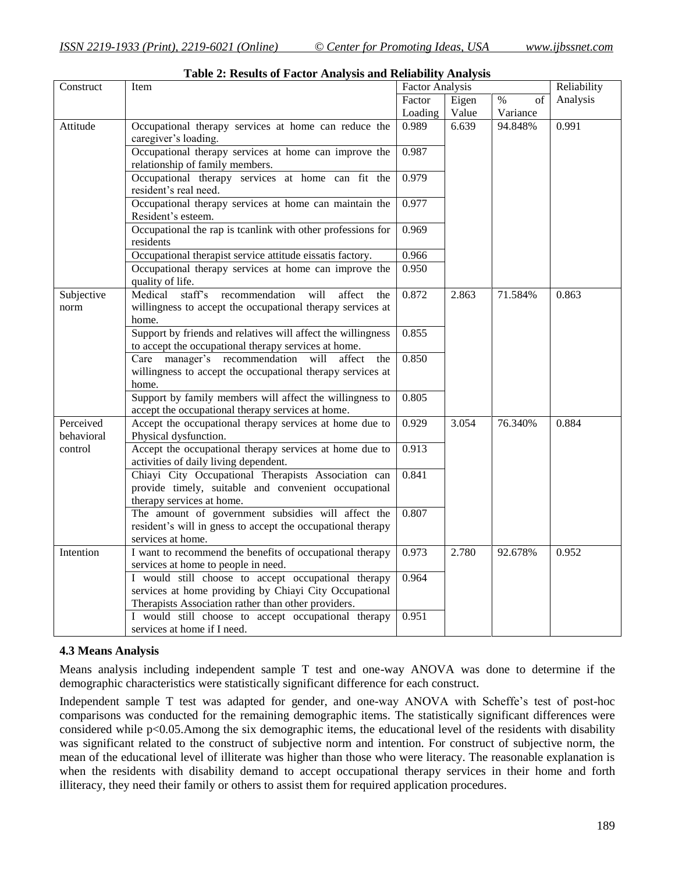| Construct               | Item                                                                                                                                                                 | <b>Factor Analysis</b> |       | Reliability |          |
|-------------------------|----------------------------------------------------------------------------------------------------------------------------------------------------------------------|------------------------|-------|-------------|----------|
|                         |                                                                                                                                                                      | Factor                 | Eigen | $\%$<br>of  | Analysis |
|                         |                                                                                                                                                                      | Loading                | Value | Variance    |          |
| Attitude                | Occupational therapy services at home can reduce the<br>caregiver's loading.                                                                                         | 0.989                  | 6.639 | 94.848%     | 0.991    |
|                         | Occupational therapy services at home can improve the<br>relationship of family members.                                                                             | 0.987                  |       |             |          |
|                         | Occupational therapy services at home can fit the<br>resident's real need.                                                                                           | 0.979                  |       |             |          |
|                         | Occupational therapy services at home can maintain the<br>Resident's esteem.                                                                                         | 0.977                  |       |             |          |
|                         | Occupational the rap is tcanlink with other professions for<br>residents                                                                                             | 0.969                  |       |             |          |
|                         | Occupational therapist service attitude eissatis factory.                                                                                                            | 0.966                  |       |             |          |
|                         | Occupational therapy services at home can improve the<br>quality of life.                                                                                            | 0.950                  |       |             |          |
| Subjective<br>norm      | staff's<br>Medical<br>recommendation<br>will<br>affect<br>the<br>willingness to accept the occupational therapy services at<br>home.                                 | 0.872                  | 2.863 | 71.584%     | 0.863    |
|                         | Support by friends and relatives will affect the willingness<br>to accept the occupational therapy services at home.                                                 | 0.855                  |       |             |          |
|                         | Care manager's recommendation will affect<br>the<br>willingness to accept the occupational therapy services at<br>home.                                              | 0.850                  |       |             |          |
|                         | Support by family members will affect the willingness to<br>accept the occupational therapy services at home.                                                        | 0.805                  |       |             |          |
| Perceived<br>behavioral | Accept the occupational therapy services at home due to<br>Physical dysfunction.                                                                                     | 0.929                  | 3.054 | 76.340%     | 0.884    |
| control                 | Accept the occupational therapy services at home due to<br>activities of daily living dependent.                                                                     | 0.913                  |       |             |          |
|                         | Chiayi City Occupational Therapists Association can<br>provide timely, suitable and convenient occupational<br>therapy services at home.                             | 0.841                  |       |             |          |
|                         | The amount of government subsidies will affect the<br>resident's will in gness to accept the occupational therapy<br>services at home.                               | 0.807                  |       |             |          |
| Intention               | I want to recommend the benefits of occupational therapy<br>services at home to people in need.                                                                      | 0.973                  | 2.780 | 92.678%     | 0.952    |
|                         | I would still choose to accept occupational therapy<br>services at home providing by Chiayi City Occupational<br>Therapists Association rather than other providers. | 0.964                  |       |             |          |
|                         | I would still choose to accept occupational therapy<br>services at home if I need.                                                                                   | 0.951                  |       |             |          |

#### **Table 2: Results of Factor Analysis and Reliability Analysis**

#### **4.3 Means Analysis**

Means analysis including independent sample T test and one-way ANOVA was done to determine if the demographic characteristics were statistically significant difference for each construct.

Independent sample T test was adapted for gender, and one-way ANOVA with Scheffe"s test of post-hoc comparisons was conducted for the remaining demographic items. The statistically significant differences were considered while p<0.05.Among the six demographic items, the educational level of the residents with disability was significant related to the construct of subjective norm and intention. For construct of subjective norm, the mean of the educational level of illiterate was higher than those who were literacy. The reasonable explanation is when the residents with disability demand to accept occupational therapy services in their home and forth illiteracy, they need their family or others to assist them for required application procedures.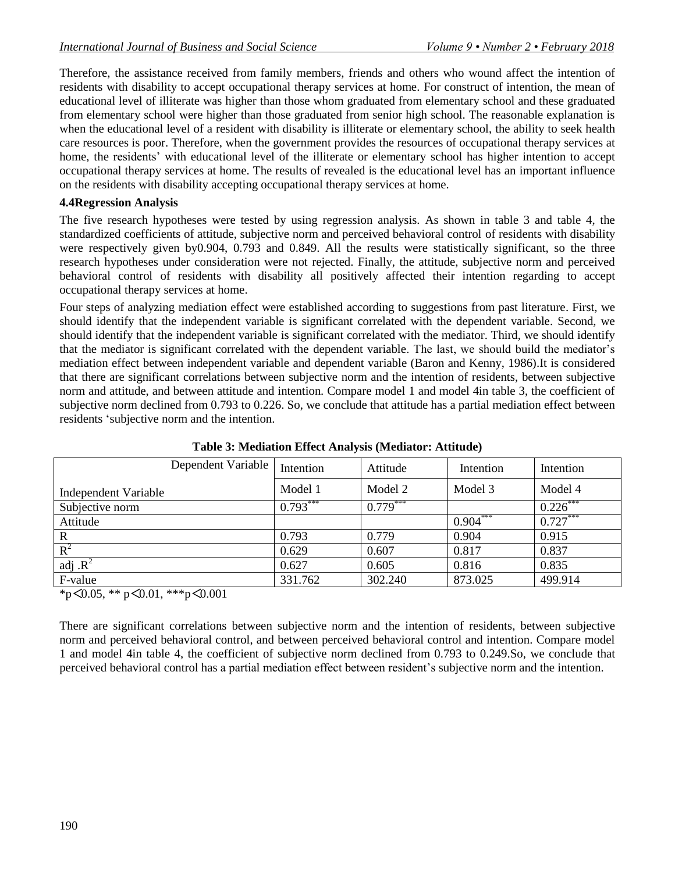Therefore, the assistance received from family members, friends and others who wound affect the intention of residents with disability to accept occupational therapy services at home. For construct of intention, the mean of educational level of illiterate was higher than those whom graduated from elementary school and these graduated from elementary school were higher than those graduated from senior high school. The reasonable explanation is when the educational level of a resident with disability is illiterate or elementary school, the ability to seek health care resources is poor. Therefore, when the government provides the resources of occupational therapy services at home, the residents' with educational level of the illiterate or elementary school has higher intention to accept occupational therapy services at home. The results of revealed is the educational level has an important influence on the residents with disability accepting occupational therapy services at home.

### **4.4Regression Analysis**

The five research hypotheses were tested by using regression analysis. As shown in table 3 and table 4, the standardized coefficients of attitude, subjective norm and perceived behavioral control of residents with disability were respectively given by0.904, 0.793 and 0.849. All the results were statistically significant, so the three research hypotheses under consideration were not rejected. Finally, the attitude, subjective norm and perceived behavioral control of residents with disability all positively affected their intention regarding to accept occupational therapy services at home.

Four steps of analyzing mediation effect were established according to suggestions from past literature. First, we should identify that the independent variable is significant correlated with the dependent variable. Second, we should identify that the independent variable is significant correlated with the mediator. Third, we should identify that the mediator is significant correlated with the dependent variable. The last, we should build the mediator"s mediation effect between independent variable and dependent variable (Baron and Kenny, 1986).It is considered that there are significant correlations between subjective norm and the intention of residents, between subjective norm and attitude, and between attitude and intention. Compare model 1 and model 4in table 3, the coefficient of subjective norm declined from 0.793 to 0.226. So, we conclude that attitude has a partial mediation effect between residents "subjective norm and the intention.

| Dependent Variable   | Intention  | Attitude   | Intention  | Intention   |
|----------------------|------------|------------|------------|-------------|
| Independent Variable | Model 1    | Model 2    | Model 3    | Model 4     |
| Subjective norm      | $0.793***$ | $0.779***$ |            | $0.226$ *** |
| Attitude             |            |            | $0.904***$ | $0.727***$  |
| $\mathbf R$          | 0.793      | 0.779      | 0.904      | 0.915       |
| $R^2$                | 0.629      | 0.607      | 0.817      | 0.837       |
| adj $\mathbf{R}^2$   | 0.627      | 0.605      | 0.816      | 0.835       |
| F-value              | 331.762    | 302.240    | 873.025    | 499.914     |

**Table 3: Mediation Effect Analysis (Mediator: Attitude)**

 $*_{p}$ <0.05,  $*_{p}$ <0.01,  $*_{p}$ <0.001

There are significant correlations between subjective norm and the intention of residents, between subjective norm and perceived behavioral control, and between perceived behavioral control and intention. Compare model 1 and model 4in table 4, the coefficient of subjective norm declined from 0.793 to 0.249.So, we conclude that perceived behavioral control has a partial mediation effect between resident's subjective norm and the intention.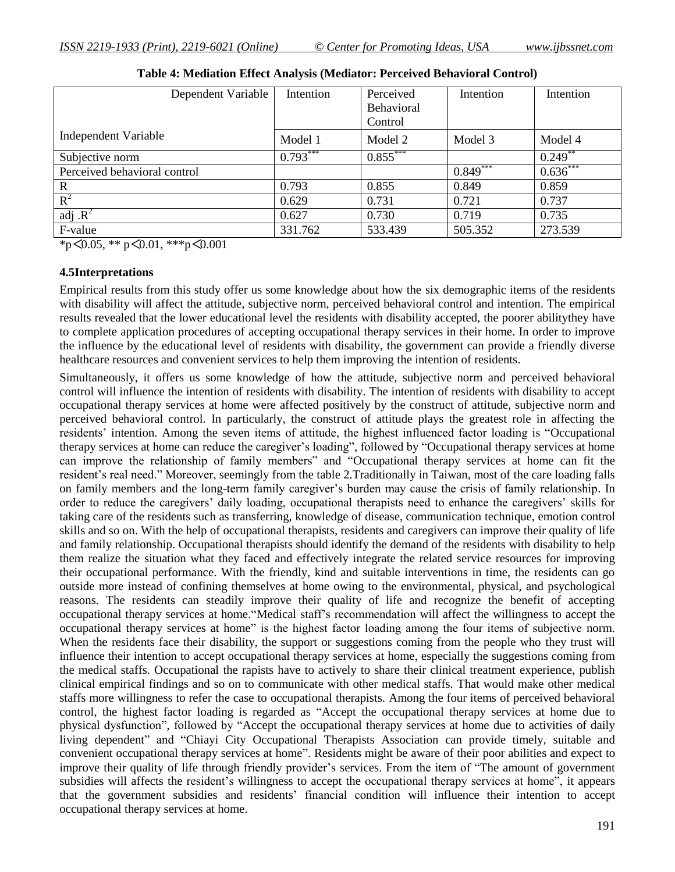| Dependent Variable           | Intention  | Perceived  | Intention  | Intention  |
|------------------------------|------------|------------|------------|------------|
|                              |            | Behavioral |            |            |
|                              |            | Control    |            |            |
| Independent Variable         | Model 1    | Model 2    | Model 3    | Model 4    |
| Subjective norm              | $0.793***$ | $0.855***$ |            | $0.249$ ** |
| Perceived behavioral control |            |            | $0.849***$ | $0.636***$ |
| $\mathbf R$                  | 0.793      | 0.855      | 0.849      | 0.859      |
| $R^2$                        | 0.629      | 0.731      | 0.721      | 0.737      |
| adj $\mathbf{R}^2$           | 0.627      | 0.730      | 0.719      | 0.735      |
| F-value                      | 331.762    | 533.439    | 505.352    | 273.539    |

**Table 4: Mediation Effect Analysis (Mediator: Perceived Behavioral Control)**

\*p<0.05, \*\* p<0.01, \*\*\*p<0.001

#### **4.5Interpretations**

Empirical results from this study offer us some knowledge about how the six demographic items of the residents with disability will affect the attitude, subjective norm, perceived behavioral control and intention. The empirical results revealed that the lower educational level the residents with disability accepted, the poorer abilitythey have to complete application procedures of accepting occupational therapy services in their home. In order to improve the influence by the educational level of residents with disability, the government can provide a friendly diverse healthcare resources and convenient services to help them improving the intention of residents.

Simultaneously, it offers us some knowledge of how the attitude, subjective norm and perceived behavioral control will influence the intention of residents with disability. The intention of residents with disability to accept occupational therapy services at home were affected positively by the construct of attitude, subjective norm and perceived behavioral control. In particularly, the construct of attitude plays the greatest role in affecting the residents" intention. Among the seven items of attitude, the highest influenced factor loading is "Occupational therapy services at home can reduce the caregiver's loading", followed by "Occupational therapy services at home can improve the relationship of family members" and "Occupational therapy services at home can fit the resident's real need." Moreover, seemingly from the table 2. Traditionally in Taiwan, most of the care loading falls on family members and the long-term family caregiver"s burden may cause the crisis of family relationship. In order to reduce the caregivers' daily loading, occupational therapists need to enhance the caregivers' skills for taking care of the residents such as transferring, knowledge of disease, communication technique, emotion control skills and so on. With the help of occupational therapists, residents and caregivers can improve their quality of life and family relationship. Occupational therapists should identify the demand of the residents with disability to help them realize the situation what they faced and effectively integrate the related service resources for improving their occupational performance. With the friendly, kind and suitable interventions in time, the residents can go outside more instead of confining themselves at home owing to the environmental, physical, and psychological reasons. The residents can steadily improve their quality of life and recognize the benefit of accepting occupational therapy services at home."Medical staff"s recommendation will affect the willingness to accept the occupational therapy services at home" is the highest factor loading among the four items of subjective norm. When the residents face their disability, the support or suggestions coming from the people who they trust will influence their intention to accept occupational therapy services at home, especially the suggestions coming from the medical staffs. Occupational the rapists have to actively to share their clinical treatment experience, publish clinical empirical findings and so on to communicate with other medical staffs. That would make other medical staffs more willingness to refer the case to occupational therapists. Among the four items of perceived behavioral control, the highest factor loading is regarded as "Accept the occupational therapy services at home due to physical dysfunction", followed by "Accept the occupational therapy services at home due to activities of daily living dependent" and "Chiayi City Occupational Therapists Association can provide timely, suitable and convenient occupational therapy services at home". Residents might be aware of their poor abilities and expect to improve their quality of life through friendly provider's services. From the item of "The amount of government subsidies will affects the resident's willingness to accept the occupational therapy services at home", it appears that the government subsidies and residents" financial condition will influence their intention to accept occupational therapy services at home.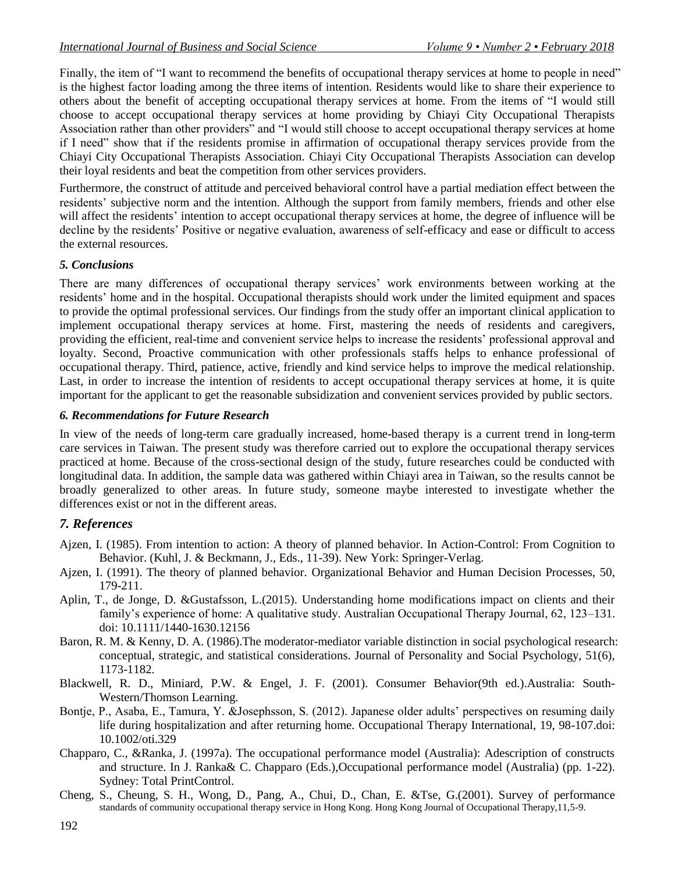Finally, the item of "I want to recommend the benefits of occupational therapy services at home to people in need" is the highest factor loading among the three items of intention. Residents would like to share their experience to others about the benefit of accepting occupational therapy services at home. From the items of "I would still choose to accept occupational therapy services at home providing by Chiayi City Occupational Therapists Association rather than other providers" and "I would still choose to accept occupational therapy services at home if I need" show that if the residents promise in affirmation of occupational therapy services provide from the Chiayi City Occupational Therapists Association. Chiayi City Occupational Therapists Association can develop their loyal residents and beat the competition from other services providers.

Furthermore, the construct of attitude and perceived behavioral control have a partial mediation effect between the residents" subjective norm and the intention. Although the support from family members, friends and other else will affect the residents' intention to accept occupational therapy services at home, the degree of influence will be decline by the residents' Positive or negative evaluation, awareness of self-efficacy and ease or difficult to access the external resources.

### *5. Conclusions*

There are many differences of occupational therapy services" work environments between working at the residents" home and in the hospital. Occupational therapists should work under the limited equipment and spaces to provide the optimal professional services. Our findings from the study offer an important clinical application to implement occupational therapy services at home. First, mastering the needs of residents and caregivers, providing the efficient, real-time and convenient service helps to increase the residents" professional approval and loyalty. Second, Proactive communication with other professionals staffs helps to enhance professional of occupational therapy. Third, patience, active, friendly and kind service helps to improve the medical relationship. Last, in order to increase the intention of residents to accept occupational therapy services at home, it is quite important for the applicant to get the reasonable subsidization and convenient services provided by public sectors.

### *6. Recommendations for Future Research*

In view of the needs of long-term care gradually increased, home-based therapy is a current trend in long-term care services in Taiwan. The present study was therefore carried out to explore the occupational therapy services practiced at home. Because of the cross-sectional design of the study, future researches could be conducted with longitudinal data. In addition, the sample data was gathered within Chiayi area in Taiwan, so the results cannot be broadly generalized to other areas. In future study, someone maybe interested to investigate whether the differences exist or not in the different areas.

# *7. References*

- Ajzen, I. (1985). From intention to action: A theory of planned behavior. In Action-Control: From Cognition to Behavior. (Kuhl, J. & Beckmann, J., Eds., 11-39). New York: Springer-Verlag.
- Ajzen, I. (1991). The theory of planned behavior. Organizational Behavior and Human Decision Processes, 50, 179-211.
- Aplin, T., de Jonge, D. &Gustafsson, L.(2015). Understanding home modifications impact on clients and their family"s experience of home: A qualitative study. Australian Occupational Therapy Journal, 62, 123–131. doi: 10.1111/1440-1630.12156
- Baron, R. M. & Kenny, D. A. (1986).The moderator-mediator variable distinction in social psychological research: conceptual, strategic, and statistical considerations. Journal of Personality and Social Psychology, 51(6), 1173-1182.
- Blackwell, R. D., Miniard, P.W. & Engel, J. F. (2001). Consumer Behavior(9th ed.).Australia: South-Western/Thomson Learning.
- Bontje, P., Asaba, E., Tamura, Y. &Josephsson, S. (2012). Japanese older adults" perspectives on resuming daily life during hospitalization and after returning home. Occupational Therapy International, 19, 98-107.doi: 10.1002/oti.329
- Chapparo, C., &Ranka, J. (1997a). The occupational performance model (Australia): Adescription of constructs and structure. In J. Ranka& C. Chapparo (Eds.),Occupational performance model (Australia) (pp. 1-22). Sydney: Total PrintControl.
- Cheng, S., Cheung, S. H., Wong, D., Pang, A., Chui, D., Chan, E. &Tse, G.(2001). Survey of performance standards of community occupational therapy service in Hong Kong. Hong Kong Journal of Occupational Therapy,11,5-9.